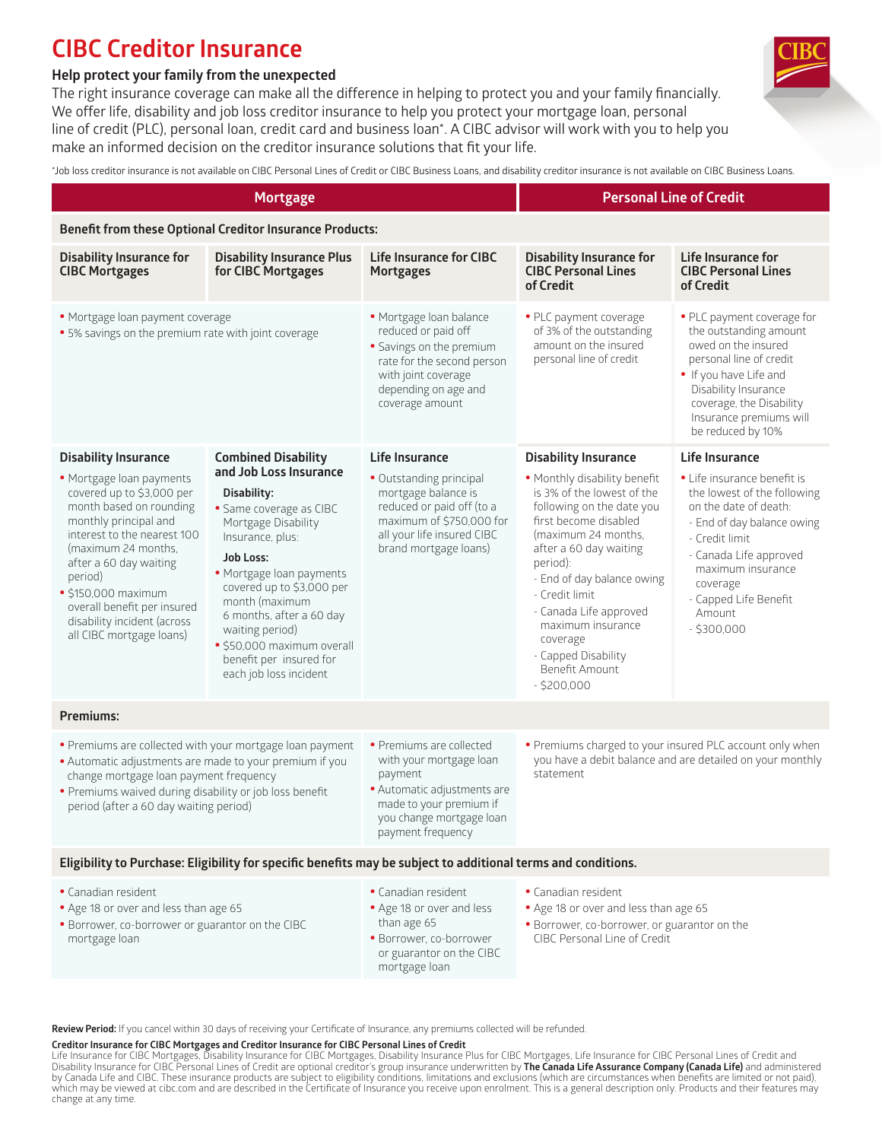## **CIBC Creditor Insurance**

## **Help protect your family from the unexpected**

The right insurance coverage can make all the difference in helping to protect you and your family financially. We offer life, disability and job loss creditor insurance to help you protect your mortgage loan, personal line of credit (PLC), personal loan, credit card and business loan\*. A CIBC advisor will work with you to help you make an informed decision on the creditor insurance solutions that fit your life.

\*Job loss creditor insurance is not available on CIBC Personal Lines of Credit or CIBC Business Loans, and disability creditor insurance is not available on CIBC Business Loans.

| <b>Mortgage</b>                                                                                                                                                                                                                                                                                                             |                                                                                                                                                                                                                                                                                                                                              |                                                                                                                                                                            | <b>Personal Line of Credit</b>                                                                                                                                                                                                                                                                                                                          |                                                                                                                                                                                                                                                  |  |  |  |
|-----------------------------------------------------------------------------------------------------------------------------------------------------------------------------------------------------------------------------------------------------------------------------------------------------------------------------|----------------------------------------------------------------------------------------------------------------------------------------------------------------------------------------------------------------------------------------------------------------------------------------------------------------------------------------------|----------------------------------------------------------------------------------------------------------------------------------------------------------------------------|---------------------------------------------------------------------------------------------------------------------------------------------------------------------------------------------------------------------------------------------------------------------------------------------------------------------------------------------------------|--------------------------------------------------------------------------------------------------------------------------------------------------------------------------------------------------------------------------------------------------|--|--|--|
| <b>Benefit from these Optional Creditor Insurance Products:</b>                                                                                                                                                                                                                                                             |                                                                                                                                                                                                                                                                                                                                              |                                                                                                                                                                            |                                                                                                                                                                                                                                                                                                                                                         |                                                                                                                                                                                                                                                  |  |  |  |
| <b>Disability Insurance for</b><br><b>CIBC Mortgages</b>                                                                                                                                                                                                                                                                    | <b>Disability Insurance Plus</b><br>for CIBC Mortgages                                                                                                                                                                                                                                                                                       | <b>Life Insurance for CIBC</b><br><b>Mortgages</b>                                                                                                                         | <b>Disability Insurance for</b><br><b>CIBC Personal Lines</b><br>of Credit                                                                                                                                                                                                                                                                              | Life Insurance for<br><b>CIBC Personal Lines</b><br>of Credit                                                                                                                                                                                    |  |  |  |
| · Mortgage loan payment coverage<br>· 5% savings on the premium rate with joint coverage                                                                                                                                                                                                                                    |                                                                                                                                                                                                                                                                                                                                              | · Mortgage Ioan balance<br>reduced or paid off<br>· Savings on the premium<br>rate for the second person<br>with joint coverage<br>depending on age and<br>coverage amount | · PLC payment coverage<br>of 3% of the outstanding<br>amount on the insured<br>personal line of credit                                                                                                                                                                                                                                                  | • PLC payment coverage for<br>the outstanding amount<br>owed on the insured<br>personal line of credit<br>• If you have Life and<br>Disability Insurance<br>coverage, the Disability<br>Insurance premiums will<br>be reduced by 10%             |  |  |  |
| <b>Disability Insurance</b>                                                                                                                                                                                                                                                                                                 | <b>Combined Disability</b>                                                                                                                                                                                                                                                                                                                   | <b>Life Insurance</b>                                                                                                                                                      | <b>Disability Insurance</b>                                                                                                                                                                                                                                                                                                                             | Life Insurance                                                                                                                                                                                                                                   |  |  |  |
| · Mortgage loan payments<br>covered up to \$3,000 per<br>month based on rounding<br>monthly principal and<br>interest to the nearest 100<br>(maximum 24 months.<br>after a 60 day waiting<br>period)<br>$\cdot$ \$150,000 maximum<br>overall benefit per insured<br>disability incident (across<br>all CIBC mortgage loans) | and Job Loss Insurance<br>Disability:<br>· Same coverage as CIBC<br>Mortgage Disability<br>Insurance, plus:<br><b>Job Loss:</b><br>· Mortgage loan payments<br>covered up to \$3,000 per<br>month (maximum<br>6 months, after a 60 day<br>waiting period)<br>· \$50,000 maximum overall<br>benefit per insured for<br>each job loss incident | · Outstanding principal<br>mortgage balance is<br>reduced or paid off (to a<br>maximum of \$750,000 for<br>all your life insured CIBC<br>brand mortgage loans)             | . Monthly disability benefit<br>is 3% of the lowest of the<br>following on the date you<br>first become disabled<br>(maximum 24 months,<br>after a 60 day waiting<br>period):<br>- End of day balance owing<br>- Credit limit<br>- Canada Life approved<br>maximum insurance<br>coverage<br>- Capped Disability<br><b>Benefit Amount</b><br>$-5200,000$ | • Life insurance benefit is<br>the lowest of the following<br>on the date of death:<br>- End of day balance owing<br>- Credit limit<br>- Canada Life approved<br>maximum insurance<br>coverage<br>- Capped Life Benefit<br>Amount<br>$-5300,000$ |  |  |  |
| Premiums:                                                                                                                                                                                                                                                                                                                   |                                                                                                                                                                                                                                                                                                                                              |                                                                                                                                                                            |                                                                                                                                                                                                                                                                                                                                                         |                                                                                                                                                                                                                                                  |  |  |  |
| • Premiums are collected with your mortgage loan payment<br>· Automatic adjustments are made to your premium if you<br>change mortgage loan payment frequency<br>• Premiums waived during disability or job loss benefit<br>period (after a 60 day waiting period)                                                          |                                                                                                                                                                                                                                                                                                                                              | · Premiums are collected<br>with your mortgage loan<br>payment<br>· Automatic adjustments are<br>made to your premium if<br>you change mortgage loan<br>payment frequency  | . Premiums charged to your insured PLC account only when<br>you have a debit balance and are detailed on your monthly<br>statement                                                                                                                                                                                                                      |                                                                                                                                                                                                                                                  |  |  |  |
| Eligibility to Purchase: Eligibility for specific benefits may be subject to additional terms and conditions.                                                                                                                                                                                                               |                                                                                                                                                                                                                                                                                                                                              |                                                                                                                                                                            |                                                                                                                                                                                                                                                                                                                                                         |                                                                                                                                                                                                                                                  |  |  |  |
| · Canadian resident<br>. Age 18 or over and less than age 65<br>. Borrower, co-borrower or guarantor on the CIBC<br>mortgage loan                                                                                                                                                                                           |                                                                                                                                                                                                                                                                                                                                              | · Canadian resident<br>• Age 18 or over and less<br>than age 65<br>· Borrower, co-borrower<br>or guarantor on the CIBC<br>mortgage loan                                    | • Canadian resident<br>. Age 18 or over and less than age 65<br>· Borrower, co-borrower, or guarantor on the<br>CIBC Personal Line of Credit                                                                                                                                                                                                            |                                                                                                                                                                                                                                                  |  |  |  |

Review Period: If you cancel within 30 days of receiving your Certificate of Insurance, any premiums collected will be refunded.

#### **Creditor Insurance for CIBC Mortgages and Creditor Insurance for CIBC Personal Lines of Credit**

Life Insurance for CIBC Mortgages, Disability Insurance for CIBC Mortgages, Disability Insurance Plus for CIBC Mortgages, Life Insurance for CIBC Personal Lines of Credit and<br>Disability Insurance for CIBC Personal Lines of change at any time.

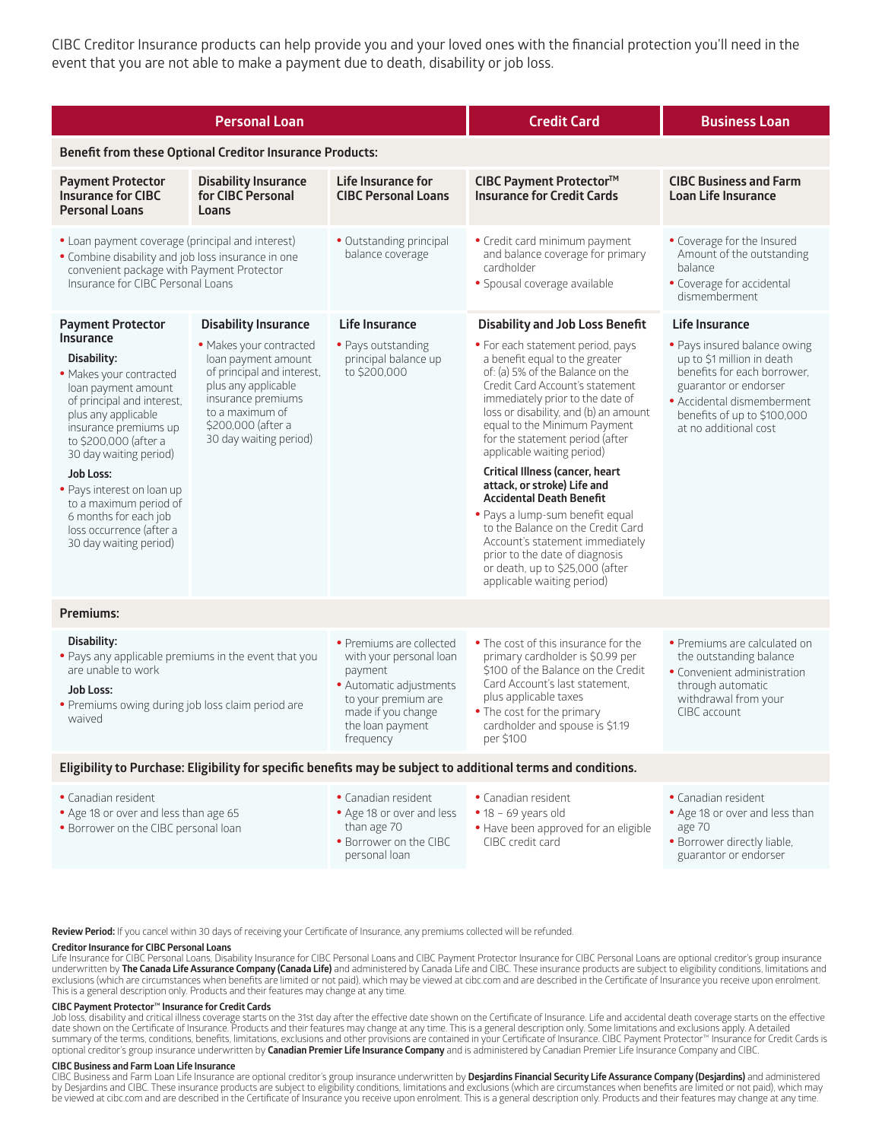CIBC Creditor Insurance products can help provide you and your loved ones with the financial protection you'll need in the event that you are not able to make a payment due to death, disability or job loss.

| <b>Personal Loan</b>                                                                                                                                                                                                                                                                                                                                                          |                                                                                                                                                                                              |                                                                                                                                                                         | <b>Credit Card</b>                                                                                                                                                                                                                                                                                                                                                                                                                                                                                                                                                                                                                          | <b>Business Loan</b>                                                                                                                                                                                     |  |  |  |
|-------------------------------------------------------------------------------------------------------------------------------------------------------------------------------------------------------------------------------------------------------------------------------------------------------------------------------------------------------------------------------|----------------------------------------------------------------------------------------------------------------------------------------------------------------------------------------------|-------------------------------------------------------------------------------------------------------------------------------------------------------------------------|---------------------------------------------------------------------------------------------------------------------------------------------------------------------------------------------------------------------------------------------------------------------------------------------------------------------------------------------------------------------------------------------------------------------------------------------------------------------------------------------------------------------------------------------------------------------------------------------------------------------------------------------|----------------------------------------------------------------------------------------------------------------------------------------------------------------------------------------------------------|--|--|--|
| <b>Benefit from these Optional Creditor Insurance Products:</b>                                                                                                                                                                                                                                                                                                               |                                                                                                                                                                                              |                                                                                                                                                                         |                                                                                                                                                                                                                                                                                                                                                                                                                                                                                                                                                                                                                                             |                                                                                                                                                                                                          |  |  |  |
| <b>Payment Protector</b><br><b>Disability Insurance</b>                                                                                                                                                                                                                                                                                                                       |                                                                                                                                                                                              | <b>Life Insurance for</b>                                                                                                                                               | CIBC Payment Protector™                                                                                                                                                                                                                                                                                                                                                                                                                                                                                                                                                                                                                     | <b>CIBC Business and Farm</b>                                                                                                                                                                            |  |  |  |
| <b>Insurance for CIBC</b><br><b>Personal Loans</b>                                                                                                                                                                                                                                                                                                                            | for CIBC Personal<br>Loans                                                                                                                                                                   | <b>CIBC Personal Loans</b>                                                                                                                                              | <b>Insurance for Credit Cards</b>                                                                                                                                                                                                                                                                                                                                                                                                                                                                                                                                                                                                           | <b>Loan Life Insurance</b>                                                                                                                                                                               |  |  |  |
| • Loan payment coverage (principal and interest)<br>• Combine disability and job loss insurance in one<br>convenient package with Payment Protector<br>Insurance for CIBC Personal Loans                                                                                                                                                                                      |                                                                                                                                                                                              | • Outstanding principal<br>balance coverage                                                                                                                             | • Credit card minimum payment<br>and balance coverage for primary<br>cardholder<br>· Spousal coverage available                                                                                                                                                                                                                                                                                                                                                                                                                                                                                                                             | • Coverage for the Insured<br>Amount of the outstanding<br>balance<br>· Coverage for accidental<br>dismemberment                                                                                         |  |  |  |
| <b>Payment Protector</b>                                                                                                                                                                                                                                                                                                                                                      | <b>Disability Insurance</b>                                                                                                                                                                  | Life Insurance                                                                                                                                                          | <b>Disability and Job Loss Benefit</b>                                                                                                                                                                                                                                                                                                                                                                                                                                                                                                                                                                                                      | <b>Life Insurance</b>                                                                                                                                                                                    |  |  |  |
| <b>Insurance</b><br>Disability:<br>· Makes your contracted<br>loan payment amount<br>of principal and interest,<br>plus any applicable<br>insurance premiums up<br>to \$200,000 (after a<br>30 day waiting period)<br><b>Job Loss:</b><br>• Pays interest on loan up<br>to a maximum period of<br>6 months for each job<br>loss occurrence (after a<br>30 day waiting period) | · Makes your contracted<br>loan payment amount<br>of principal and interest,<br>plus any applicable<br>insurance premiums<br>to a maximum of<br>\$200,000 (after a<br>30 day waiting period) | • Pays outstanding<br>principal balance up<br>to \$200,000                                                                                                              | • For each statement period, pays<br>a benefit equal to the greater<br>of: (a) 5% of the Balance on the<br>Credit Card Account's statement<br>immediately prior to the date of<br>loss or disability, and (b) an amount<br>equal to the Minimum Payment<br>for the statement period (after<br>applicable waiting period)<br>Critical Illness (cancer, heart<br>attack, or stroke) Life and<br><b>Accidental Death Benefit</b><br>· Pays a lump-sum benefit equal<br>to the Balance on the Credit Card<br>Account's statement immediately<br>prior to the date of diagnosis<br>or death, up to \$25,000 (after<br>applicable waiting period) | · Pays insured balance owing<br>up to \$1 million in death<br>benefits for each borrower.<br>guarantor or endorser<br>• Accidental dismemberment<br>benefits of up to \$100,000<br>at no additional cost |  |  |  |
| <b>Premiums:</b>                                                                                                                                                                                                                                                                                                                                                              |                                                                                                                                                                                              |                                                                                                                                                                         |                                                                                                                                                                                                                                                                                                                                                                                                                                                                                                                                                                                                                                             |                                                                                                                                                                                                          |  |  |  |
| Disability:<br>. Pays any applicable premiums in the event that you<br>are unable to work<br><b>Job Loss:</b><br>• Premiums owing during job loss claim period are<br>waived                                                                                                                                                                                                  |                                                                                                                                                                                              | • Premiums are collected<br>with your personal loan<br>payment<br>· Automatic adjustments<br>to your premium are<br>made if you change<br>the loan payment<br>frequency | . The cost of this insurance for the<br>primary cardholder is \$0.99 per<br>\$100 of the Balance on the Credit<br>Card Account's last statement.<br>plus applicable taxes<br>• The cost for the primary<br>cardholder and spouse is \$1.19<br>per \$100                                                                                                                                                                                                                                                                                                                                                                                     | • Premiums are calculated on<br>the outstanding balance<br>• Convenient administration<br>through automatic<br>withdrawal from your<br>CIBC account                                                      |  |  |  |
| Eligibility to Purchase: Eligibility for specific benefits may be subject to additional terms and conditions.                                                                                                                                                                                                                                                                 |                                                                                                                                                                                              |                                                                                                                                                                         |                                                                                                                                                                                                                                                                                                                                                                                                                                                                                                                                                                                                                                             |                                                                                                                                                                                                          |  |  |  |
| • Canadian resident<br>. Age 18 or over and less than age 65<br>• Borrower on the CIBC personal loan                                                                                                                                                                                                                                                                          |                                                                                                                                                                                              | · Canadian resident<br>• Age 18 or over and less<br>than age 70<br>. Borrower on the CIBC<br>personal loan                                                              | • Canadian resident<br>$\bullet$ 18 - 69 years old<br>. Have been approved for an eligible<br>CIBC credit card                                                                                                                                                                                                                                                                                                                                                                                                                                                                                                                              | • Canadian resident<br>• Age 18 or over and less than<br>age 70<br>· Borrower directly liable,<br>guarantor or endorser                                                                                  |  |  |  |

**Review Period:** If you cancel within 30 days of receiving your Certificate of Insurance, any premiums collected will be refunded.

#### **Creditor Insurance for CIBC Personal Loans**

Life Insurance for CIBC Personal Loans, Disability Insurance for CIBC Personal Loans and CIBC Payment Protector Insurance for CIBC Personal Loans are optional creditor's group insurance underwritten by The Canada Life Assurance Company (Canada Life) and administered by Canada Life and CIBC. These insurance products are subject to eligibility conditions, limitations and exclusions (which are circumstances when benefits are limited or not paid), which may be viewed at cibc.com and are described in the Certificate of Insurance you receive upon enrolment. This is a general description only. Products and their features may change at any time.

#### **CIBC Payment Protector™ Insurance for Credit Cards**

Job loss, disability and critical illness coverage starts on the 31st day after the effective date shown on the Certificate of Insurance. Life and accidental death coverage starts on the effective<br>date shown on the Certif optional creditor's group insurance underwritten by **Canadian Premier Life Insurance Company** and is administered by Canadian Premier Life Insurance Company and CIBC.

#### **CIBC Business and Farm Loan Life Insurance**

CIBC Business and Farm Loan Life Insurance are optional creditor's group insurance underwritten by **Desjardins Financial Security Life Assurance Company (Desjardins)** and administered<br>by Desjardins and CIBC. These insuranc be viewed at cibc.com and are described in the Certificate of Insurance you receive upon enrolment. This is a general description only. Products and their features may change at any time.